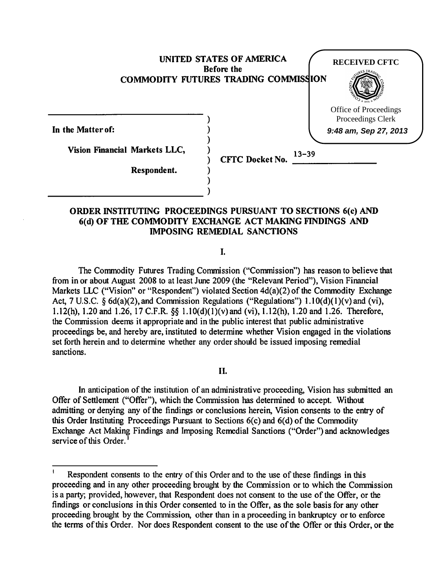

## ORDER INSTITUTING PROCEEDINGS PURSUANT TO SECTIONS 6(c) AND 6(d) OF THE COMMODITY EXCHANGE ACT MAKING FINDINGS AND IMPOSING REMEDIAL SANCTIONS

I.

The Commodity Futures Trading Commission ("Commission") has reason to believe that from in or about August 2008 to at least June 2009 (the "Relevant Period"), Vision Financial Markets LLC ("Vision" or "Respondent") violated Section 4d(a)(2) of the Commodity Exchange Act, 7 U.S.C.  $\hat{S}$  6d(a)(2), and Commission Regulations ("Regulations") 1.10(d)(1)(v) and (vi), l.l2(h), 1.20 and 1.26, 17 C.F.R. §§ l.IO(d)(l)(v)and (vi), 1.12(h), 1.20 and 1.26. Therefore, the Connnission deems it appropriate and in the public interest that public administrative proceedings be, and hereby are, instituted to determine whether Vision engaged in the violations set forth herein and to determine whether any order should be issued imposing remedial sanctions.

#### II.

In anticipation of the institution of an administrative proceeding, Vision has submitted an Offer of Settlement ("Offer"), which the Commission has determined to accept. Without admitting or denying any of the findings or conclusions herein, Vision consents to the entry of this Order Instituting Proceedings Pursuant to Sections  $6(c)$  and  $6(d)$  of the Commodity Exchange Act Making Findings and Imposing Remedial Sanctions ("Order") and acknowledges service of this Order.<sup>1</sup>

Respondent consents to the entry of this Order and to the use of these findings in this proceeding and in any other proceeding brought by the Commission or to which the Commission is a party; provided, however, that Respondent does not consent to the use of the Offer, or the findings or conclusions in this Order consented to in the Offer, as the sole basis for any other proceeding brought by the Commission, other than in a proceeding in bankruptcy or to enforce the terms of this Order. Nor does Respondent consent to the use of the Offer or this Order, or the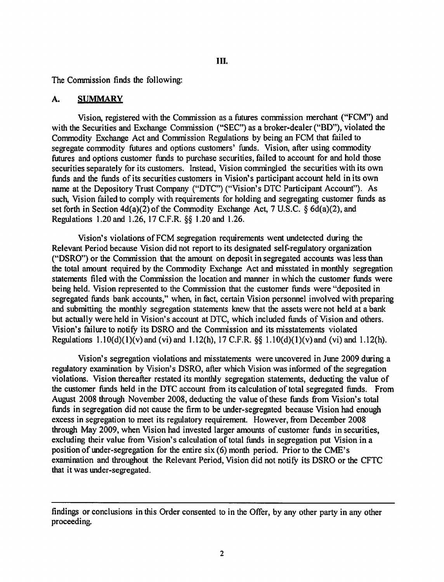#### III.

The Commission finds the following:

#### A. SUMMARY

Vision, registered with the Commission as a futures commission merchant ("FCM'') and with the Securities and Exchange Commission ("SEC") as a broker-dealer ("BD"), violated the Commodity Exchange Act and Commission Regulations by being an FCM that failed to segregate commodity futures and options customers' funds. Vision, after using commodity futures and options customer funds to purchase securities, failed to account for and hold those securities separately for its customers. Instead, Vision commingled the securities with its own funds and the funds of its securities customers in Vision's participant account held in its own name at the Depository Trust Company ("DTC") ("Vision's DTC Participant Account"). As such, Vision failed to comply with requirements for holding and segregating customer funds as set forth in Section 4d(a)(2) of the Commodity Exchange Act, 7 U.S. C. *§* 6d(a)(2), and Regulations 1.20 and 1.26, 17 C.F .R. *§§* 1.20 and 1.26.

Vision's violations of FCM segregation requirements went undetected during the Relevant Period because Vision did not report to its designated self-regulatory organization ("DSRO") or the Commission that the amount on deposit in segregated accounts was less than the total amount required by the Commodity Exchange Act and misstated in monthly segregation statements filed with the Commission the location and manner in which the customer funds were being held. Vision represented to the Commission that the customer funds were "deposited in segregated funds bank accounts," when, in fact, certain Vision personnel involved with preparing and submitting the monthly segregation statements knew that the assets were not held at a bank but actually were held in Vision's account at DTC, which included funds of Vision and others. Vision's failure to notify its DSRO and the Commission and its misstatements violated Regulations l.IO(d)(l)(v)and (vi) and 1.12(h), 17 C.F.R. *§§* l.lO(d)(l)(v)and (vi) and 1.12(h).

Vision's segregation violations and misstatements were uncovered in June 2009 during a regulatory examination by Vision's DSRO, after which Vision was informed of the segregation violations. Vision thereafter restated its monthly segregation statements, deducting the value of the customer funds held in the DTC account from its calculation of total segregated funds. From August 2008 through November 2008, deducting the value of these funds from Vision's total funds in segregation did not cause the firm to be under-segregated because Vision had enough excess in segregation to meet its regulatory requirement. However, from December 2008 through May 2009, when Vision had invested larger amounts of customer funds in securities, excluding their value from Vision's calculation of total funds in segregation put Vision in a position of under-segregation for the entire six  $(6)$  month period. Prior to the CME's examination and throughout the Relevant Period, Vision did not notify its DSRO or the CFTC that it was under-segregated.

findings or conclusions in this Order consented to in the Offer, by any other party in any other proceeding.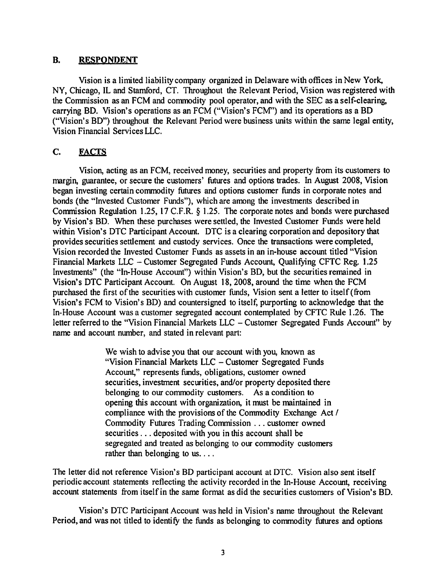#### B. RESPONDENT

Vision is a limited liability company organized in Delaware with offices in New York, NY, Chicago, IL and Stamford, CT. Throughout the Relevant Period, Vision was registered with the Commission as an FCM and commodity pool operator, and with the SEC as a self-clearing, carrying BD. Vision's operations as an FCM ("Vision's FCM'') and its operations as a BD ("Vision's BD") throughout the Relevant Period were business units within the same legal entity, Vision Financial Services LLC.

## C. FACTS

Vision, acting as an FCM, received money, securities and property from its customers to margin, guarantee, or secure the customers' futures and options trades. In August 2008, Vision began investing certain commodity futures and options customer funds in corporate notes and bonds (the "Invested Customer Funds"), which are among the investments described in Commission Regulation 1.25, 17 C.F.R. § 1.25. The corporate notes and bonds were purchased by Vision's BD. When these purchases were settled, the Invested Customer Funds were held within Vision's DTC Participant Account. DTC is a clearing corporation and depository that provides securities settlement and custody services. Once the transactions were completed, Vision recorded the Invested Customer Funds as assets in an in-house account titled "Vision Financial Markets LLC - Customer Segregated Funds Account, Qualifying CFTC Reg. 1.25 Investments" (the "In-House Account") within Vision's BD, but the securities remained in Vision's DTC Participant Account. On August 18, 2008, around the time when the FCM purchased the first of the securities with customer funds, Vision sent a letter to itself(from Vision's FCM to Vision's BD) and countersigned to itself, purporting to acknowledge that the In-House Account was a customer segregated account contemplated by CFTC Rule 1.26. The letter referred to the "Vision Financial Markets LLC - Customer Segregated Funds Account" by name and account number, and stated in relevant part:

> We wish to advise you that our account with you, known as "Vision Financial Markets LLC - Customer Segregated Funds Account," represents funds, obligations, customer owned securities, investment securities, and/or property deposited there belonging to our commodity customers. As a condition to opening this account with organization, it must be maintained in compliance with the provisions of the Commodity Exchange Act / Commodity Futures Trading Commission ... customer owned securities . . . deposited with you in this account shall be segregated and treated as belonging to our commodity customers rather than belonging to us....

The letter did not reference Vision's BD participant account at DTC. Vision also sent itself periodic account statements reflecting the activity recorded in the In-House Account, receiving account statements from itself in the same format as did the securities customers of Vision's BD.

Vision's DTC Participant Account was held in Vision's name throughout the Relevant Period, and was not titled to identify the funds as belonging to commodity futures and options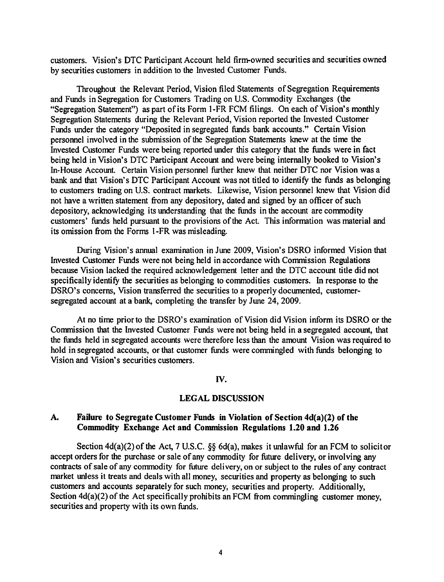customers. Vision's DTC Participant Account held firm-owned securities and securities owned by securities customers in addition to the Invested Customer Funds.

Throughout the Relevant Period, Vision filed Statements of Segregation Requirements and Funds in Segregation for Customers Trading on U.S. Commodity Exchanges (the "Segregation Statement") as part of its Form 1-FR FCM filings. On each of Vision's monthly Segregation Statements during the Relevant Period, Vision reported the Invested Customer Funds under the category "Deposited in segregated fimds bank accounts." Certain Vision personnel involved in the submission of the Segregation Statements knew at the time the Invested Customer Funds were being reported under this category that the funds were in fact being held in Vision's DTC Participant Account and were being internally booked to Vision's In-House Account. Certain Vision personnel further knew that neither DTC nor Vision was a bank and that Vision's DTC Participant Account was not titled to identify the fimds as belonging to customers trading on U.S. contract markets. Likewise, Vision personnel knew that Vision did not have a written statement from any depository, dated and signed by an officer of such depository, acknowledging its understanding that the fimds in the account are commodity customers' fimds held pursuant to the provisions of the Act. This information was material and its omission from the Forms 1-FR was misleading.

During Vision's annual examination in June 2009, Vision's DSRO informed Vision that Invested Customer Funds were not being held in accordance with Commission Regulations because Vision lacked the required acknowledgement letter and the DTC account title did not specifically identify the securities as belonging to commodities customers. In response to the DSRO's concerns, Vision transferred the securities to a properly documented, customersegregated account at a bank, completing the transfer by June 24, 2009.

At no time prior to the DSRO's examination of Vision did Vision inform its DSRO or the Commission that the Invested Customer Funds were not being held in a segregated account, that the fimds held in segregated accounts were therefore less than the amount Vision was required to hold in segregated accounts, or that customer fimds were commingled with fimds belonging to Vision and Vision's securities customers.

#### IV.

#### LEGAL DISCUSSION

### A. Failure to Segregate Customer Funds in Violation of Section 4d(a)(2) of the Commodity Exchange Act and Commission Regulations 1.20 and 1.26

Section 4d(a)(2) of the Act, 7 U.S.C. §§ 6d(a), makes it unlawful for an FCM to solicitor accept orders for the purchase or sale of any commodity for future delivery, or involving any contracts of sale of any commodity for future delivery, on or subject to the rules of any contract market unless it treats and deals with all money, securities and property as belonging to such customers and accounts separately for such money, securities and property. Additionally, Section 4d(a)(2) of the Act specifically prohibits an FCM from commingling customer money, securities and property with its own fimds.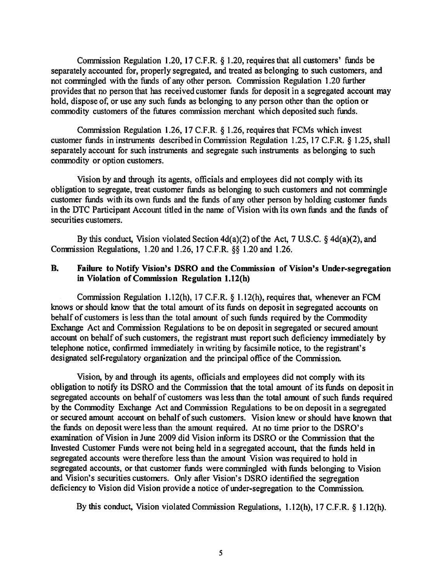Commission Regulation 1.20, 17 C.F.R.  $\S$  1.20, requires that all customers' funds be separately accounted for, properly segregated, and treated as belonging to such customers, and not commingled with the funds of any other person. Commission Regulation 1.20 further provides that no person that has received customer funds for deposit in a segregated account may hold, dispose of, or use any such funds as belonging to any person other than the option or commodity customers of the futures commission merchant which deposited such funds.

Commission Regulation 1.26, 17 C.F.R. § 1.26, requires that FCMs which invest customer funds in instruments described in Commission Regulation 1.25, 17 C.F.R.  $\S$  1.25, shall separately account for such instruments and segregate such instruments as belonging to such commodity or option customers.

Vision by and through its agents, officials and employees did not comply with its obligation to segregate, treat customer funds as belonging to such customers and not commingle customer funds with its own funds and the funds of any other person by holding customer funds in the DTC Participant Account titled in the name of Vision with its own funds and the funds of securities customers.

By this conduct, Vision violated Section 4d(a)(2) of the Act, 7 U.S.C. § 4d(a)(2), and Commission Regulations, 1.20 and 1.26, 17 C.F.R. §§ 1.20 and 1.26.

### B. Failure to Notify Vision's DSRO and the Commission of Vision's Under-segregation in Violation of Commission Regulation 1.12(h)

Commission Regulation 1.12(h), 17 C.F.R. § 1.12(h), requires that, whenever an FCM knows or should know that the total amount of its funds on deposit in segregated accounts on behalf of customers is less than the total amount of such funds required by the Commodity Exchange Act and Commission Regulations to be on deposit in segregated or secured amount account on behalf of such customers, the registrant must report such deficiency immediately by telephone notice, confirmed immediately in writing by facsimile notice, to the registrant's designated self-regulatory organization and the principal office of the Commission.

Vision, by and through its agents, officials and employees did not comply with its obligation to notify its DSRO and the Commission that the total amount of its funds on deposit in segregated accounts on behalf of customers was less than the total amount of such funds required by the Commodity Exchange Act and Commission Regulations to be on deposit in a segregated or secured amount account on behalf of such customers. Vision knew or should have known that the funds on deposit were less than the amount required. At no time prior to the DSRO's examination of Vision in June 2009 did Vision inform its DSRO or the Commission that the Invested Customer Funds were not being held in a segregated account, that the funds held in segregated accounts were therefore less than the amount Vision was required to hold in segregated accounts, or that customer funds were commingled with funds belonging to Vision and Vision's securities customers. Only after Vision's DSRO identified the segregation deficiency to Vision did Vision provide a notice of under-segregation to the Commission.

By this conduct, Vision violated Commission Regulations, 1.12(h), 17 C.F.R. § 1.12(h).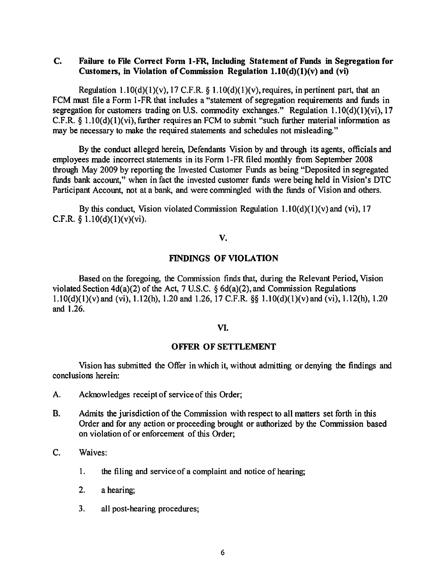## C. Fallure to File Correct Fonn 1-FR, Including Statement of Funds in Segregation for Customers, in Violation of Commission Regulation  $1.10(d)(1)(v)$  and (vi)

Regulation 1.10(d)(1)(v), 17 C.F.R. § 1.10(d)(1)(v), requires, in pertinent part, that an FCM must file a Form 1-FR that includes a "statement of segregation requirements and funds in segregation for customers trading on U.S. commodity exchanges." Regulation  $1.10(d)(1)(vi)$ , 17 C.F.R.  $\S$  1.10(d)(1)(vi), further requires an FCM to submit "such further material information as may be necessary to make the required statements and schedules not misleading."

By the conduct alleged herein, Defendants Vision by and through its agents, officials and employees made incorrect statements in its Form 1-FR filed monthly from September 2008 through May 2009 by reporting the Invested Customer Funds as being "Deposited in segregated funds bank account," when in fact the invested customer funds were being held in Vision's DTC Participant Account, not at a bank, and were commingled with the funds of Vision and others.

By this conduct, Vision violated Commission Regulation  $1.10(d)(1)(v)$  and (vi), 17 C.F.R.  $\S$  1.10(d)(1)(v)(vi).

v.

## FINDINGS OF VIOLATION

Based on the foregoing, the Commission finds that, during the Relevant Period, Vision violated Section 4d(a)(2) of the Act, 7 U.S.C. § 6d(a)(2), and Commission Regulations l.lO(d)(l)(v)and (vi), l.l2(h), 1.20 and 1.26, 17 C.F.R. §§ l.lO(d)(l)(v)and (vi), 1.12(h), 1.20 and 1.26.

### VI.

### OFFER OF SETTLEMENT

Vision has submitted the Offer in which it, without admitting or denying the findings and conclusions herein:

- A. Acknowledges receipt of service of this Order;
- B. Admits the jurisdiction of the Commission with respect to all matters set forth in this Order and for any action or proceeding brought or authorized by the Commission based on violation of or enforcement of this Order;
- C. Waives:
	- 1. the filing and service of a complaint and notice of hearing;
	- 2. a hearing;
	- 3. all post-hearing procedures;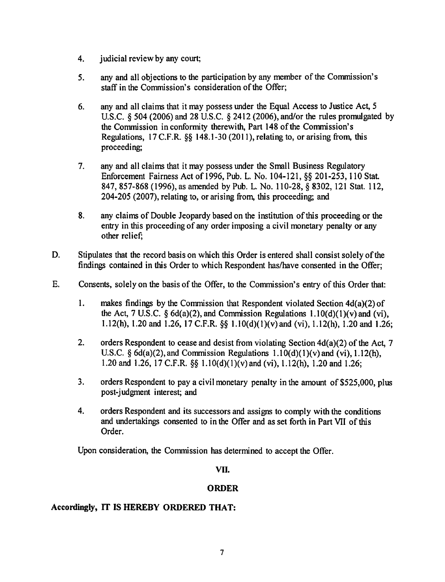- 4. judicial review by any court;
- 5. any and all objections to the participation by any member of the Commission's staff in the Commission's consideration of the Offer;
- 6. any and all claims that it may possess under the Equal Access to Justice Act, 5 U.S.C. § 504 (2006) and 28 U.S.C. § 2412 (2006), and/or the rules promulgated by the Commission in conformity therewith, Part 148 of the Commission's Regulations,  $17 \text{ C.F.R.}$  §§ 148.1-30 (2011), relating to, or arising from, this proceeding;
- 7. any and all claims that it may possess under the Small Business Regulatory Enforcement Fairness Act of 1996, Pub. L. No. 104-121, §§ 201-253, 110 Stat. 847, 857-868 (1996), as amended by Pub. L. No. 110-28, § 8302, 121 Stat. 112, 204-205 (2007), relating to, or arising from, this proceeding; and
- 8. any claims of Double Jeopardy based on the institution of this proceeding or the entry in this proceeding of any order imposing a civil monetary penalty or any other relief;
- D. Stipulates that the record basis on which this Order is entered shall consist solely of the findings contained in this Order to which Respondent has/have consented in the Offer;
- E. Consents, solely on the basis of the Offer, to the Commission's entry of this Order that:
	- 1. makes findings by the Commission that Respondent violated Section  $4d(a)(2)$  of the Act, 7 U.S.C.  $\delta$  6d(a)(2), and Commission Regulations 1.10(d)(1)(v) and (vi), 1.12(h), 1.20 and 1.26, 17 C.F.R. *§§* 1.10(d)(1)(v)and (vi), 1.12(h), 1.20 and 1.26;
	- 2. orders Respondent to cease and desist from violating Section 4d(a)(2) of the Act, 7 U.S.C.  $\S 6d(a)(2)$ , and Commission Regulations  $1.10(d)(1)(v)$  and  $(vi)$ ,  $1.12(h)$ , 1.20and 1.26, 17C.F.R. *§§* 1.10(d)(1)(v)and(vi), 1.12(h), 1.20and 1.26;
	- 3. orders Respondent to pay a civil monetary penalty in the amount of \$525,000, plus post-judgment interest; and
	- 4. orders Respondent and its successors and assigns to comply with the conditions and undertakings consented to in the Offer and as set forth in Part VII of this Order.

Upon consideration, the Commission has determined to accept the Offer.

## VII.

# ORDER

## Accordingly, IT IS HEREBY ORDERED THAT: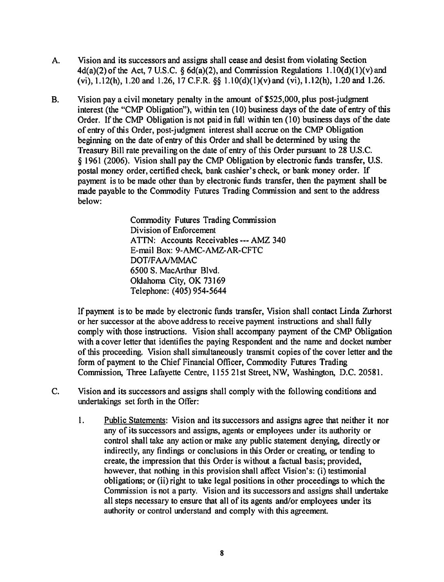- A. Vision and its successors and assigns shall cease and desist from violating Section  $4d(a)(2)$  of the Act, 7 U.S.C. §  $6d(a)(2)$ , and Commission Regulations  $1.10(d)(1)(v)$  and (vi), 1.12(h), 1.20 and 1.26, 17 C.F.R. §§ 1.10(d)(1)(v)and (vi), 1.12(h), 1.20 and 1.26.
- B. Vision pay a civil monetary penalty in the amount of \$525,000, plus post-judgment interest (the "CMP Obligation"), within ten (10) business days of the date of entry of this Order. If the CMP Obligation is not paid in full within ten (10) business days of the date of entry of this Order, post-judgment interest shall accrue on the CMP Obligation beginning on the date of entry of this Order and shall be determined by using the Treasury Bill rate prevailing on the date of entry of this Order pursuant to 28 U.S.C. § 1961 (2006). Vision shall pay the CMP Obligation by electronic funds transfer, U.S. postal money order, certified check, bank cashier's check, or bank money order. If payment is to be made other than by electronic funds transfer, then the payment shall be made payable to the Commodity Futures Trading Commission and sent to the address below:

Commodity Futures Trading Commission Division of Enforcement ATfN: Accounts Receivables--- AMZ 340 E-mail Box: 9-AMC-AMZ-AR-CFTC DOT/FAA/MMAC 6500 S. MacArthur Blvd. Oklahoma City, OK 73169 Telephone: ( 405) 954-5644

If payment is to be made by electronic funds transfer, Vision shall contact Linda Zurhorst or her successor at the above address to receive payment instructions and shall fully comply with those instructions. Vision shall accompany payment of the CMP Obligation with a cover letter that identifies the paying Respondent and the name and docket munber of this proceeding. Vision shall simultaneously transmit copies of the cover letter and the form of payment to the Chief Financial Officer, Commodity Futures Trading Commission, Three Lafayette Centre, 1155 21st Street, NW, Washington, D.C. 20581.

- C. Vision and its successors and assigns shall comply with the following conditions and undertakings set forth in the Offer:
	- l. Public Statements: Vision and its successors and assigns agree that neither it nor any of its successors and assigns, agents or employees under its authority or control shall take any action or make any public statement denying, directly or indirectly, any findings or conclusions in this Order or creating, or tending to create, the impression that this Order is without a factual basis; provided, however, that nothing in this provision shall affect Vision's: (i) testimonial obligations; or (ii) right to take legal positions in other proceedings to which the Commission is not a party. Vision and its successors and assigns shall undertake all steps necessary to ensure that all of its agents and/or employees under its authority or control understand and comply with this agreement.